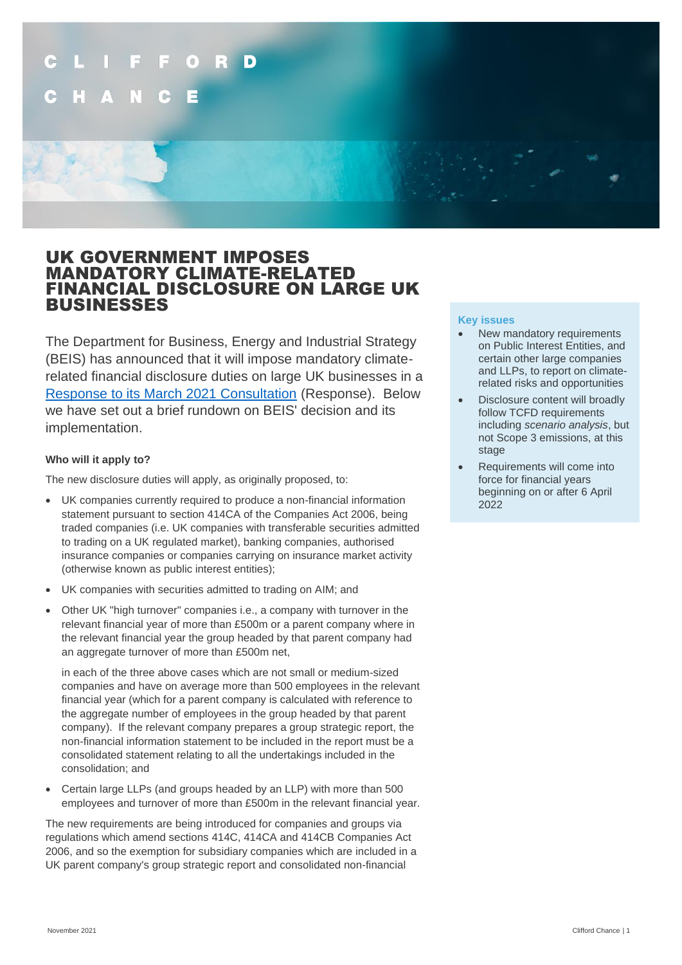# D

# UK GOVERNMENT IMPOSES MANDATORY CLIMATE-RELATED FINANCIAL DISCLOSURE ON LARGE UK BUSINESSES

The Department for Business, Energy and Industrial Strategy (BEIS) has announced that it will impose mandatory climaterelated financial disclosure duties on large UK businesses in a [Response to its March 2021 Consultation](https://assets.publishing.service.gov.uk/government/uploads/system/uploads/attachment_data/file/1029354/tcfd-consultation-government-response.pdf) (Response). Below we have set out a brief rundown on BEIS' decision and its implementation.

### **Who will it apply to?**

The new disclosure duties will apply, as originally proposed, to:

- UK companies currently required to produce a non-financial information statement pursuant to section 414CA of the Companies Act 2006, being traded companies (i.e. UK companies with transferable securities admitted to trading on a UK regulated market), banking companies, authorised insurance companies or companies carrying on insurance market activity (otherwise known as public interest entities);
- UK companies with securities admitted to trading on AIM; and
- Other UK "high turnover" companies i.e., a company with turnover in the relevant financial year of more than £500m or a parent company where in the relevant financial year the group headed by that parent company had an aggregate turnover of more than £500m net,

in each of the three above cases which are not small or medium-sized companies and have on average more than 500 employees in the relevant financial year (which for a parent company is calculated with reference to the aggregate number of employees in the group headed by that parent company). If the relevant company prepares a group strategic report, the non-financial information statement to be included in the report must be a consolidated statement relating to all the undertakings included in the consolidation; and

• Certain large LLPs (and groups headed by an LLP) with more than 500 employees and turnover of more than £500m in the relevant financial year.

The new requirements are being introduced for companies and groups via regulations which amend sections 414C, 414CA and 414CB Companies Act 2006, and so the exemption for subsidiary companies which are included in a UK parent company's group strategic report and consolidated non-financial

### **Key issues**

- New mandatory requirements on Public Interest Entities, and certain other large companies and LLPs, to report on climaterelated risks and opportunities
- Disclosure content will broadly follow TCFD requirements including *scenario analysis*, but not Scope 3 emissions, at this stage
- Requirements will come into force for financial years beginning on or after 6 April 2022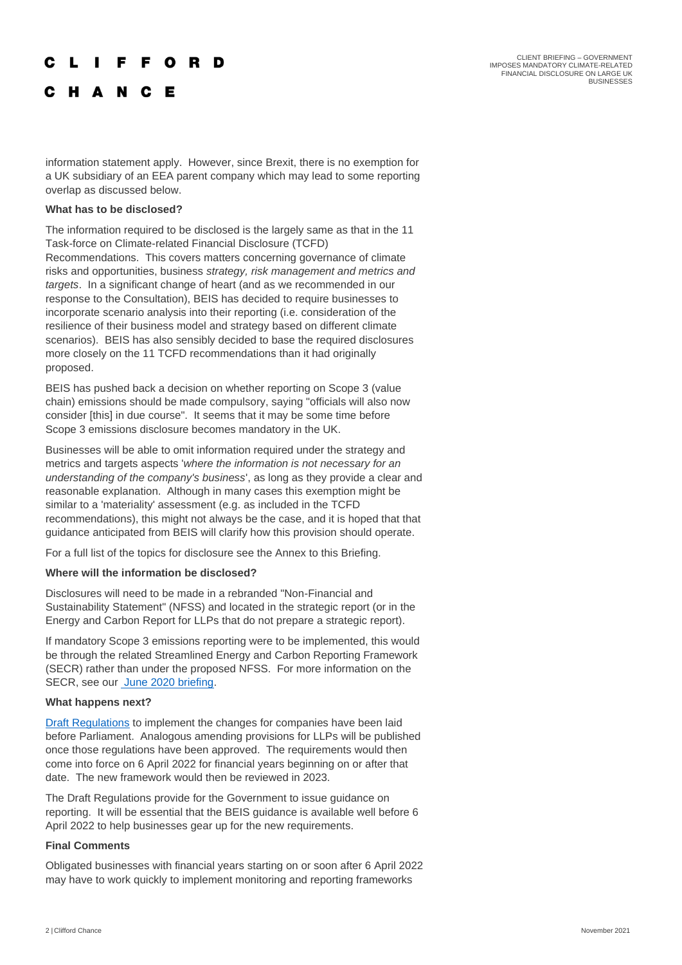## **IFFORD**

C H A N C E

information statement apply. However, since Brexit, there is no exemption for a UK subsidiary of an EEA parent company which may lead to some reporting overlap as discussed below.

### **What has to be disclosed?**

The information required to be disclosed is the largely same as that in the 11 Task-force on Climate-related Financial Disclosure (TCFD) Recommendations. This covers matters concerning governance of climate risks and opportunities, business *strategy, risk management and metrics and targets*. In a significant change of heart (and as we recommended in our response to the Consultation), BEIS has decided to require businesses to incorporate scenario analysis into their reporting (i.e. consideration of the resilience of their business model and strategy based on different climate scenarios). BEIS has also sensibly decided to base the required disclosures more closely on the 11 TCFD recommendations than it had originally proposed.

BEIS has pushed back a decision on whether reporting on Scope 3 (value chain) emissions should be made compulsory, saying "officials will also now consider [this] in due course". It seems that it may be some time before Scope 3 emissions disclosure becomes mandatory in the UK.

Businesses will be able to omit information required under the strategy and metrics and targets aspects '*where the information is not necessary for an understanding of the company's business*', as long as they provide a clear and reasonable explanation. Although in many cases this exemption might be similar to a 'materiality' assessment (e.g. as included in the TCFD recommendations), this might not always be the case, and it is hoped that that guidance anticipated from BEIS will clarify how this provision should operate.

For a full list of the topics for disclosure see the Annex to this Briefing.

### **Where will the information be disclosed?**

Disclosures will need to be made in a rebranded "Non-Financial and Sustainability Statement" (NFSS) and located in the strategic report (or in the Energy and Carbon Report for LLPs that do not prepare a strategic report).

If mandatory Scope 3 emissions reporting were to be implemented, this would be through the related Streamlined Energy and Carbon Reporting Framework (SECR) rather than under the proposed NFSS. For more information on the SECR, see our **June 2020** briefing.

### **What happens next?**

[Draft Regulations](https://www.legislation.gov.uk/ukdsi/2021/9780348228519) to implement the changes for companies have been laid before Parliament. Analogous amending provisions for LLPs will be published once those regulations have been approved. The requirements would then come into force on 6 April 2022 for financial years beginning on or after that date. The new framework would then be reviewed in 2023.

The Draft Regulations provide for the Government to issue guidance on reporting. It will be essential that the BEIS guidance is available well before 6 April 2022 to help businesses gear up for the new requirements.

### **Final Comments**

Obligated businesses with financial years starting on or soon after 6 April 2022 may have to work quickly to implement monitoring and reporting frameworks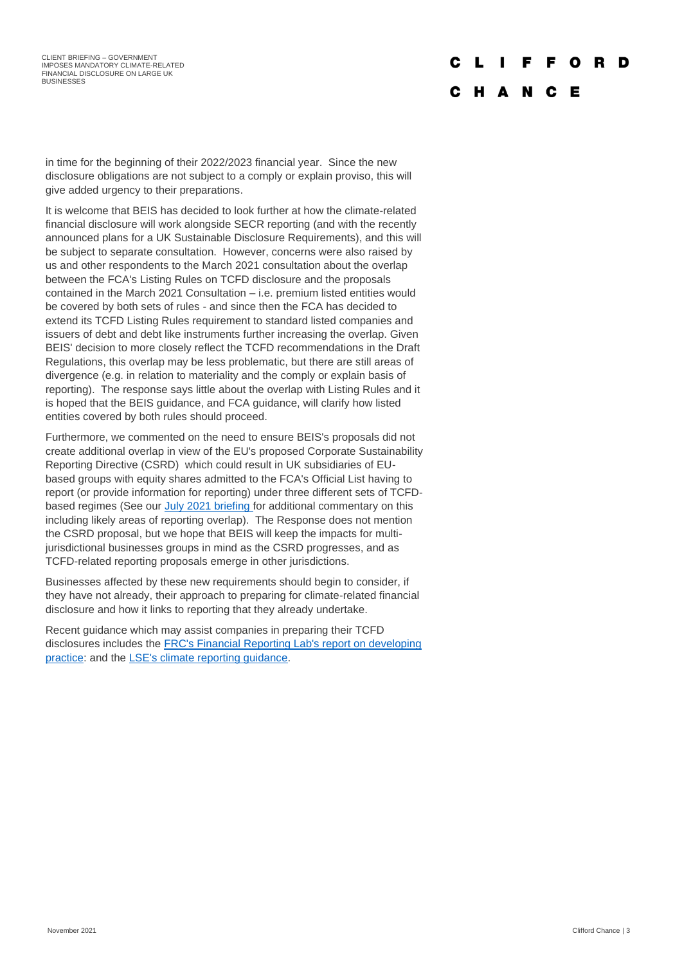### $\mathbf{L}$ F F O R

# C H A N C E

in time for the beginning of their 2022/2023 financial year. Since the new disclosure obligations are not subject to a comply or explain proviso, this will give added urgency to their preparations.

It is welcome that BEIS has decided to look further at how the climate-related financial disclosure will work alongside SECR reporting (and with the recently announced plans for a UK Sustainable Disclosure Requirements), and this will be subject to separate consultation. However, concerns were also raised by us and other respondents to the March 2021 consultation about the overlap between the FCA's Listing Rules on TCFD disclosure and the proposals contained in the March 2021 Consultation – i.e. premium listed entities would be covered by both sets of rules - and since then the FCA has decided to extend its TCFD Listing Rules requirement to standard listed companies and issuers of debt and debt like instruments further increasing the overlap. Given BEIS' decision to more closely reflect the TCFD recommendations in the Draft Regulations, this overlap may be less problematic, but there are still areas of divergence (e.g. in relation to materiality and the comply or explain basis of reporting). The response says little about the overlap with Listing Rules and it is hoped that the BEIS guidance, and FCA guidance, will clarify how listed entities covered by both rules should proceed.

Furthermore, we commented on the need to ensure BEIS's proposals did not create additional overlap in view of the EU's proposed Corporate Sustainability Reporting Directive (CSRD) which could result in UK subsidiaries of EUbased groups with equity shares admitted to the FCA's Official List having to report (or provide information for reporting) under three different sets of TCFDbased regimes (See ou[r July 2021 briefing](https://www.cliffordchance.com/briefings/2021/07/fca-consults-on-extending-climate-related-disclosure-requirement.html) for additional commentary on this including likely areas of reporting overlap). The Response does not mention the CSRD proposal, but we hope that BEIS will keep the impacts for multijurisdictional businesses groups in mind as the CSRD progresses, and as TCFD-related reporting proposals emerge in other jurisdictions.

Businesses affected by these new requirements should begin to consider, if they have not already, their approach to preparing for climate-related financial disclosure and how it links to reporting that they already undertake.

Recent guidance which may assist companies in preparing their TCFD disclosures includes the [FRC's Financial Reporting Lab's report on developing](https://www.frc.org.uk/getattachment/09b5627b-864b-48cb-ab53-8928b9dc72b7/FRCLab-TCFD-Report_October_2021.pdf)  [practice:](https://www.frc.org.uk/getattachment/09b5627b-864b-48cb-ab53-8928b9dc72b7/FRCLab-TCFD-Report_October_2021.pdf) and th[e LSE's climate reporting guidance.](https://docs.londonstockexchange.com/sites/default/files/documents/LSE_guide_to_climate_reporting_final_0.pdf)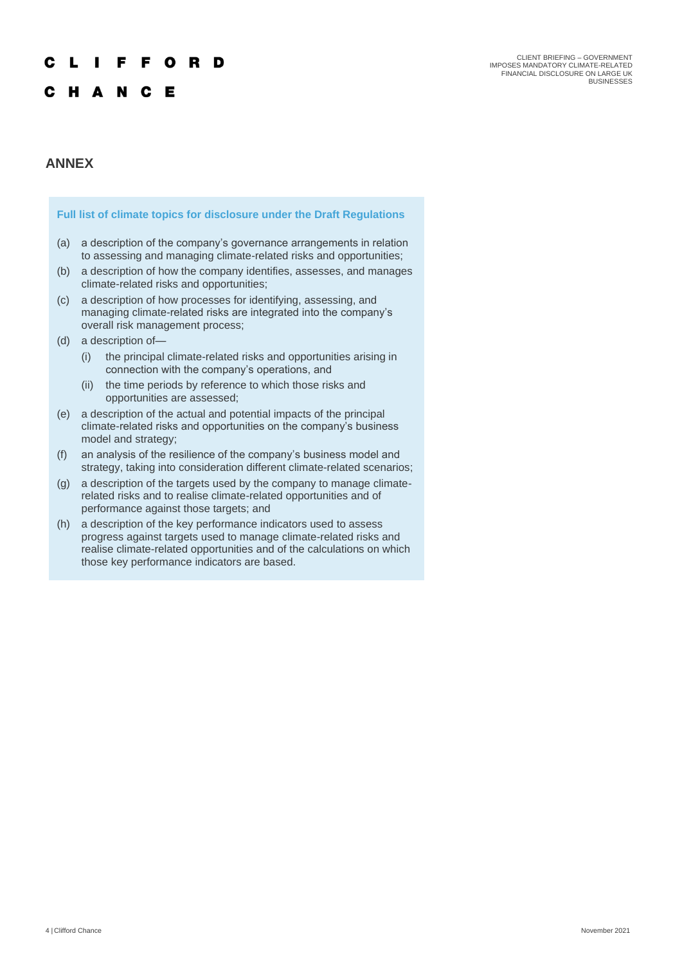### **IFFORD** L

# C H A N C E

## **ANNEX**

### **Full list of climate topics for disclosure under the Draft Regulations**

- (a) a description of the company's governance arrangements in relation to assessing and managing climate-related risks and opportunities;
- (b) a description of how the company identifies, assesses, and manages climate-related risks and opportunities;
- (c) a description of how processes for identifying, assessing, and managing climate-related risks are integrated into the company's overall risk management process;
- (d) a description of—
	- (i) the principal climate-related risks and opportunities arising in connection with the company's operations, and
	- (ii) the time periods by reference to which those risks and opportunities are assessed;
- (e) a description of the actual and potential impacts of the principal climate-related risks and opportunities on the company's business model and strategy;
- (f) an analysis of the resilience of the company's business model and strategy, taking into consideration different climate-related scenarios;
- (g) a description of the targets used by the company to manage climaterelated risks and to realise climate-related opportunities and of performance against those targets; and
- (h) a description of the key performance indicators used to assess progress against targets used to manage climate-related risks and realise climate-related opportunities and of the calculations on which those key performance indicators are based.